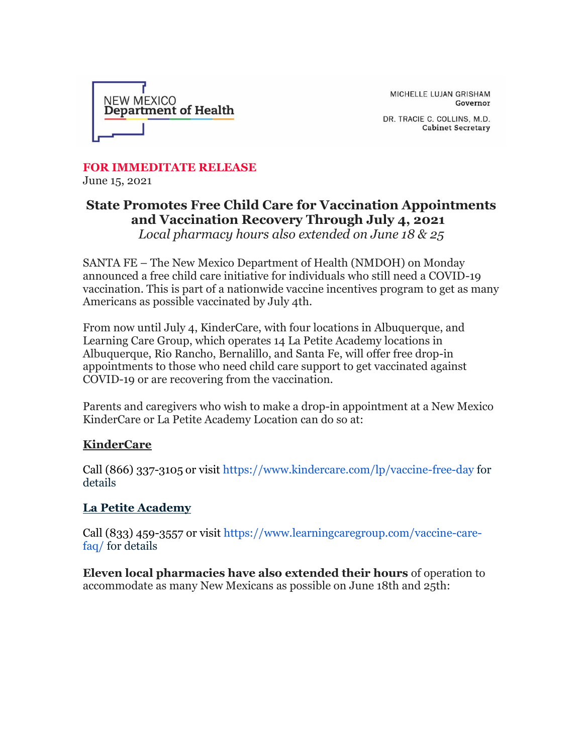

MICHELLE LUJAN GRISHAM Governor

DR. TRACIE C. COLLINS, M.D. **Cabinet Secretary** 

**FOR IMMEDITATE RELEASE** June 15, 2021

## **State Promotes Free Child Care for Vaccination Appointments and Vaccination Recovery Through July 4, 2021**

*Local pharmacy hours also extended on June 18 & 25*

SANTA FE – The New Mexico Department of Health (NMDOH) on Monday announced a free child care initiative for individuals who still need a COVID-19 vaccination. This is part of a nationwide vaccine incentives program to get as many Americans as possible vaccinated by July 4th.

From now until July 4, KinderCare, with four locations in Albuquerque, and Learning Care Group, which operates 14 La Petite Academy locations in Albuquerque, Rio Rancho, Bernalillo, and Santa Fe, will offer free drop-in appointments to those who need child care support to get vaccinated against COVID-19 or are recovering from the vaccination.

Parents and caregivers who wish to make a drop-in appointment at a New Mexico KinderCare or La Petite Academy Location can do so at:

## **KinderCare**

Call (866) 337-3105 or visit [https://www.kindercare.com/lp/vaccine-free-day](https://r20.rs6.net/tn.jsp?f=001Kcqy31ecVQ0Ehs69aAM3WPcL3-7FoLW2L0RfmVplVzDJZG9m8C1-c2O2fESeko6XvauYpH_giMDNHPABDB1aP_kJXMSEvfoDdkV825pIp403Dd6J8gol5FJw86bnXz_WZA62ZV8eO0Mlybu-uqhBy4azWo5gJanx9WeDrcU6-LdKZ8WdsyQ0Rg==&c=jlp_koUMvD0OMyEqTqZcT3eGLDqky-c3vhBJ--WGMzT8LeBgcWCi5A==&ch=zgp1JM7aqsfLZW6VzqFpWj-2lJfmmkYeLUO1fKuKUv73hdLv-K8diQ==) for details

## **La Petite Academy**

Call (833) 459-3557 or visit [https://www.learningcaregroup.com/vaccine-care](https://r20.rs6.net/tn.jsp?f=001Kcqy31ecVQ0Ehs69aAM3WPcL3-7FoLW2L0RfmVplVzDJZG9m8C1-c2O2fESeko6XIKFC2O4dyNff5Drsa8A77_nTOgNdKxV6p02yvpzpKr3sd8xaZx0cIj3Gu6-veK20ufDwUfwrxJ28ikMLcpV7YIhdg9jtXDBrQleieZluotXFm5v-9pX90Q==&c=jlp_koUMvD0OMyEqTqZcT3eGLDqky-c3vhBJ--WGMzT8LeBgcWCi5A==&ch=zgp1JM7aqsfLZW6VzqFpWj-2lJfmmkYeLUO1fKuKUv73hdLv-K8diQ==)[faq/](https://r20.rs6.net/tn.jsp?f=001Kcqy31ecVQ0Ehs69aAM3WPcL3-7FoLW2L0RfmVplVzDJZG9m8C1-c2O2fESeko6XIKFC2O4dyNff5Drsa8A77_nTOgNdKxV6p02yvpzpKr3sd8xaZx0cIj3Gu6-veK20ufDwUfwrxJ28ikMLcpV7YIhdg9jtXDBrQleieZluotXFm5v-9pX90Q==&c=jlp_koUMvD0OMyEqTqZcT3eGLDqky-c3vhBJ--WGMzT8LeBgcWCi5A==&ch=zgp1JM7aqsfLZW6VzqFpWj-2lJfmmkYeLUO1fKuKUv73hdLv-K8diQ==) for details

**Eleven local pharmacies have also extended their hours** of operation to accommodate as many New Mexicans as possible on June 18th and 25th: